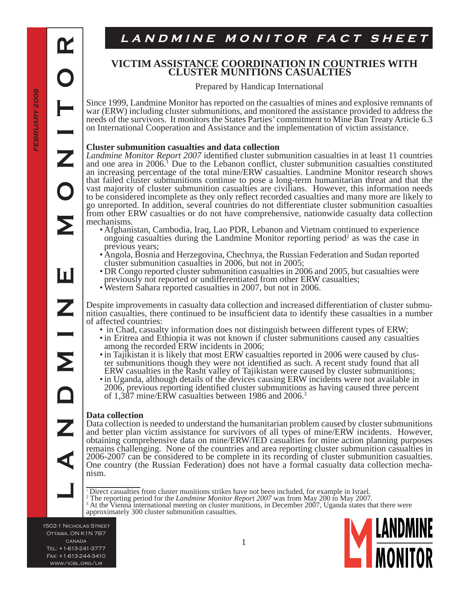<u>IT</u>

**LANDMINE MONITOR**

Ш

Σ

### **VICTIM ASSISTANCE COORDINATION IN COUNTRIES WITH CLUSTER MUNITIONS CASUALTIES**

Prepared by Handicap International

Since 1999, Landmine Monitor has reported on the casualties of mines and explosive remnants of war (ERW) including cluster submunitions, and monitored the assistance provided to address the needs of the survivors. It monitors the States Parties' commitment to Mine Ban Treaty Article 6.3 on International Cooperation and Assistance and the implementation of victim assistance.

#### **Cluster submunition casualties and data collection**

*Landmine Monitor Report 2007* identified cluster submunition casualties in at least 11 countries and one area in  $2006<sup>1</sup>$  Due to the Lebanon conflict, cluster submunition casualties constituted an increasing percentage of the total mine/ERW casualties. Landmine Monitor research shows that failed cluster submunitions continue to pose a long-term humanitarian threat and that the vast majority of cluster submunition casualties are civilians. However, this information needs to be considered incomplete as they only reflect recorded casualties and many more are likely to go unreported. In addition, several countries do not differentiate cluster submunition casualties from other ERW casualties or do not have comprehensive, nationwide casualty data collection mechanisms.

- Afghanistan, Cambodia, Iraq, Lao PDR, Lebanon and Vietnam continued to experience ongoing casualties during the Landmine Monitor reporting period<sup>2</sup> as was the case in previous years;
- Angola, Bosnia and Herzegovina, Chechnya, the Russian Federation and Sudan reported cluster submunition casualties in 2006, but not in 2005;
- DR Congo reported cluster submunition casualties in 2006 and 2005, but casualties were previously not reported or undifferentiated from other ERW casualties;
- Western Šahara reported casualties in 2007, but not in 2006.

Despite improvements in casualty data collection and increased differentiation of cluster submunition casualties, there continued to be insufficient data to identify these casualties in a number of affected countries:

- in Chad, casualty information does not distinguish between different types of ERW;
- in Eritrea and Ethiopia it was not known if cluster submunitions caused any casualties among the recorded ERW incidents in 2006;
- in Tajikistan it is likely that most ERW casualties reported in 2006 were caused by cluster submunitions though they were not identified as such. A recent study found that all ERW casualties in the Rasht valley of Tajikistan were caused by cluster submunitions;
- in Uganda, although details of the devices causing ERW incidents were not available in 2006, previous reporting identified cluster submunitions as having caused three percent of 1,387 mine/ERW casualties between 1986 and 2006.3

### **Data collection**

Data collection is needed to understand the humanitarian problem caused by cluster submunitions and better plan victim assistance for survivors of all types of mine/ERW incidents. However, obtaining comprehensive data on mine/ERW/IED casualties for mine action planning purposes remains challenging. None of the countries and area reporting cluster submunition casualties in 2006-2007 can be considered to be complete in its recording of cluster submunition casualties. One country (the Russian Federation) does not have a formal casualty data collection mechanism.

<sup>7</sup> Direct casualties from cluster munitions strikes have not been included, for example in Israel.<br>
<sup>2</sup> The reporting period for the *Landmine Monitor Report 2007* was from May 200 to May 2007.<br>
<sup>3</sup> At the Vienna internat

<sup>3</sup> At the Vienna international meeting on cluster munitions, in December 2007, Uganda states that there were approximately 300 cluster submunition casualties.

1502-1 Nicholas Street Ottawa, ON K1N 7B7 **CANADA** Tel: +1-613-241-3777 Fax: +1-613-244-3410 www/icbl.org/lm

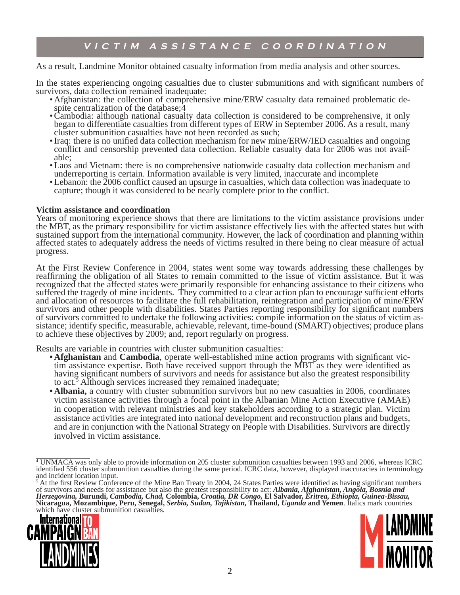## **VICTIM ASSISTANCE COORDINATION**

#### As a result, Landmine Monitor obtained casualty information from media analysis and other sources.

In the states experiencing ongoing casualties due to cluster submunitions and with significant numbers of survivors, data collection remained inadequate:

- Afghanistan: the collection of comprehensive mine/ERW casualty data remained problematic despite centralization of the database;  $4$
- Cambodia: although national casualty data collection is considered to be comprehensive, it only began to differentiate casualties from different types of ERW in September 2006. As a result, many cluster submunition casualties have not been recorded as such;
- Iraq: there is no unified data collection mechanism for new mine/ERW/IED casualties and ongoing conflict and censorship prevented data collection. Reliable casualty data for 2006 was not available;
- Laos and Vietnam: there is no comprehensive nationwide casualty data collection mechanism and underreporting is certain. Information available is very limited, inaccurate and incomplete
- Lebanon: the 2006 conflict caused an upsurge in casualties, which data collection was inadequate to capture; though it was considered to be nearly complete prior to the conflict.

#### **Victim assistance and coordination**

Years of monitoring experience shows that there are limitations to the victim assistance provisions under the MBT, as the primary responsibility for victim assistance effectively lies with the affected states but with sustained support from the international community. However, the lack of coordination and planning within affected states to adequately address the needs of victims resulted in there being no clear measure of actual progress.

At the First Review Conference in 2004, states went some way towards addressing these challenges by reaffirming the obligation of all States to remain committed to the issue of victim assistance. But it was recognized that the affected states were primarily responsible for enhancing assistance to their citizens who suffered the tragedy of mine incidents. They committed to a clear action plan to encourage sufficient efforts and allocation of resources to facilitate the full rehabilitation, reintegration and participation of mine/ERW survivors and other people with disabilities. States Parties reporting responsibility for significant numbers of survivors committed to undertake the following activities: compile information on the status of victim assistance; identify specific, measurable, achievable, relevant, time-bound (SMART) objectives; produce plans to achieve these objectives by 2009; and, report regularly on progress.

Results are variable in countries with cluster submunition casualties:

- Afghanistan and Cambodia, operate well-established mine action programs with significant victim assistance expertise. Both have received support through the  $\overrightarrow{MBT}$  as they were identified as having significant numbers of survivors and needs for assistance but also the greatest responsibility to act.<sup>5</sup> Although services increased they remained inadequate;
- **Albania,** a country with cluster submunition survivors but no new casualties in 2006, coordinates **•**victim assistance activities through a focal point in the Albanian Mine Action Executive (AMAE) in cooperation with relevant ministries and key stakeholders according to a strategic plan. Victim assistance activities are integrated into national development and reconstruction plans and budgets, and are in conjunction with the National Strategy on People with Disabilities. Survivors are directly involved in victim assistance.

 $<sup>5</sup>$  At the first Review Conference of the Mine Ban Treaty in 2004, 24 States Parties were identified as having significant numbers</sup> of survivors and needs for assistance but also the greatest responsibility to act: *Albania, Afghanistan, Angola, Bosnia and Herzegovina,* **Burundi,** *Cambodia, Chad,* **Colombia,** *Croatia, DR Congo,* **El Salvador,** *Eritrea, Ethiopia, Guinea-Bissau,*  **Nicaragua, Mozambique, Peru, Senegal,** *Serbia, Sudan, Tajikistan,* **Thailand,** *Uganda* **and Yemen**. Italics mark countries which have cluster submunition casualties.





<sup>4</sup> UNMACA was only able to provide information on 205 cluster submunition casualties between 1993 and 2006, whereas ICRC identified 556 cluster submunition casualties during the same period. ICRC data, however, displayed inaccuracies in terminology and incident location input.